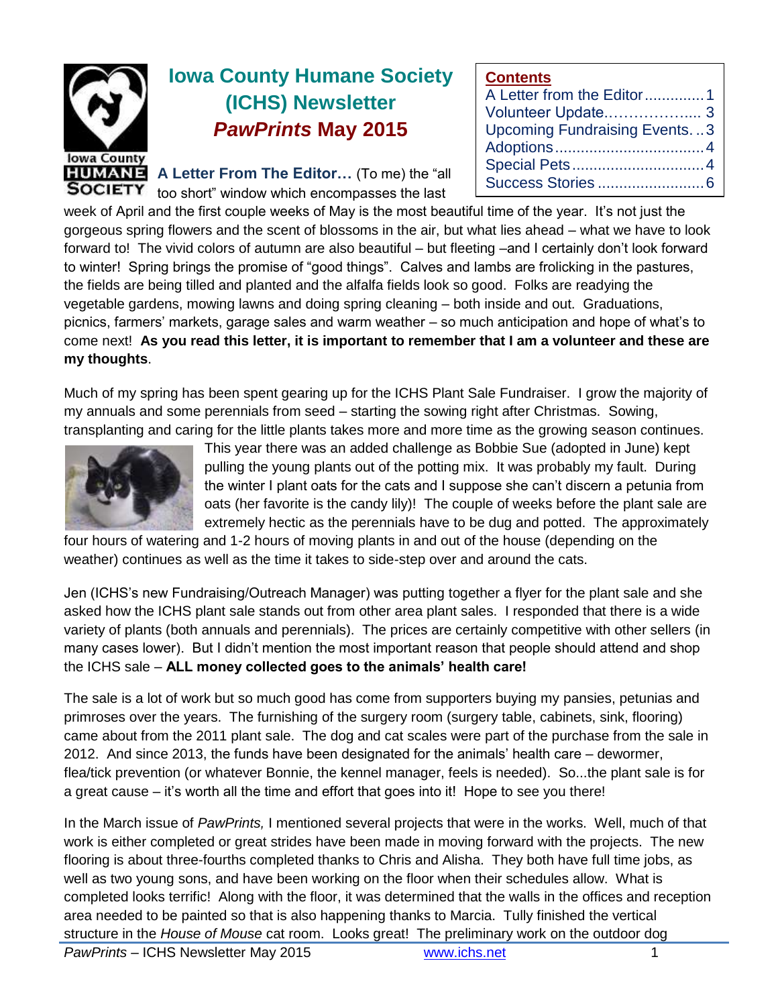

# **Iowa County Humane Society (ICHS) Newsletter** *PawPrints* **May 2015**

**A Letter From The Editor…** (To me) the "all too short" window which encompasses the last

#### **Contents**

| <u>vvinoinu</u>                     |  |
|-------------------------------------|--|
|                                     |  |
|                                     |  |
| <b>Upcoming Fundraising Events3</b> |  |
|                                     |  |
|                                     |  |
|                                     |  |
|                                     |  |

week of April and the first couple weeks of May is the most beautiful time of the year. It's not just the gorgeous spring flowers and the scent of blossoms in the air, but what lies ahead – what we have to look forward to! The vivid colors of autumn are also beautiful – but fleeting –and I certainly don't look forward to winter! Spring brings the promise of "good things". Calves and lambs are frolicking in the pastures, the fields are being tilled and planted and the alfalfa fields look so good. Folks are readying the vegetable gardens, mowing lawns and doing spring cleaning – both inside and out. Graduations, picnics, farmers' markets, garage sales and warm weather – so much anticipation and hope of what's to come next! **As you read this letter, it is important to remember that I am a volunteer and these are my thoughts**.

Much of my spring has been spent gearing up for the ICHS Plant Sale Fundraiser. I grow the majority of my annuals and some perennials from seed – starting the sowing right after Christmas. Sowing, transplanting and caring for the little plants takes more and more time as the growing season continues.



This year there was an added challenge as Bobbie Sue (adopted in June) kept pulling the young plants out of the potting mix. It was probably my fault. During the winter I plant oats for the cats and I suppose she can't discern a petunia from oats (her favorite is the candy lily)! The couple of weeks before the plant sale are extremely hectic as the perennials have to be dug and potted. The approximately

four hours of watering and 1-2 hours of moving plants in and out of the house (depending on the weather) continues as well as the time it takes to side-step over and around the cats.

Jen (ICHS's new Fundraising/Outreach Manager) was putting together a flyer for the plant sale and she asked how the ICHS plant sale stands out from other area plant sales. I responded that there is a wide variety of plants (both annuals and perennials). The prices are certainly competitive with other sellers (in many cases lower). But I didn't mention the most important reason that people should attend and shop the ICHS sale – **ALL money collected goes to the animals' health care!** 

The sale is a lot of work but so much good has come from supporters buying my pansies, petunias and primroses over the years. The furnishing of the surgery room (surgery table, cabinets, sink, flooring) came about from the 2011 plant sale. The dog and cat scales were part of the purchase from the sale in 2012. And since 2013, the funds have been designated for the animals' health care – dewormer, flea/tick prevention (or whatever Bonnie, the kennel manager, feels is needed). So...the plant sale is for a great cause – it's worth all the time and effort that goes into it! Hope to see you there!

In the March issue of *PawPrints,* I mentioned several projects that were in the works. Well, much of that work is either completed or great strides have been made in moving forward with the projects. The new flooring is about three-fourths completed thanks to Chris and Alisha. They both have full time jobs, as well as two young sons, and have been working on the floor when their schedules allow. What is completed looks terrific! Along with the floor, it was determined that the walls in the offices and reception area needed to be painted so that is also happening thanks to Marcia. Tully finished the vertical structure in the *House of Mouse* cat room. Looks great! The preliminary work on the outdoor dog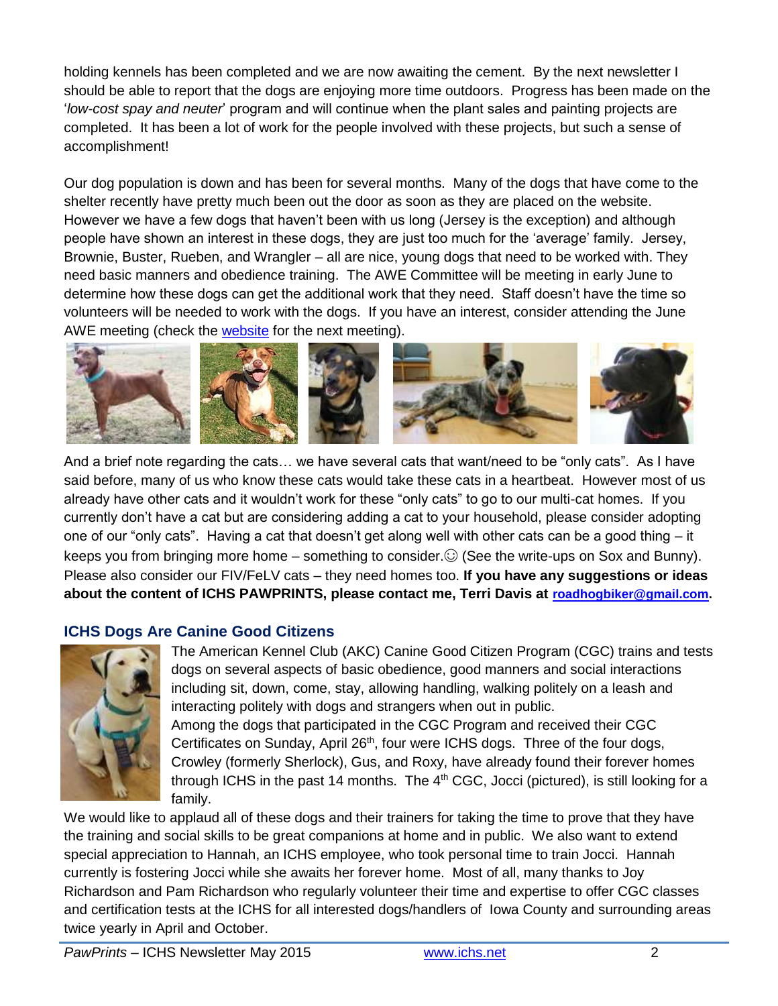holding kennels has been completed and we are now awaiting the cement. By the next newsletter I should be able to report that the dogs are enjoying more time outdoors. Progress has been made on the '*low-cost spay and neuter*' program and will continue when the plant sales and painting projects are completed. It has been a lot of work for the people involved with these projects, but such a sense of accomplishment!

Our dog population is down and has been for several months. Many of the dogs that have come to the shelter recently have pretty much been out the door as soon as they are placed on the website. However we have a few dogs that haven't been with us long (Jersey is the exception) and although people have shown an interest in these dogs, they are just too much for the 'average' family. Jersey, Brownie, Buster, Rueben, and Wrangler – all are nice, young dogs that need to be worked with. They need basic manners and obedience training. The AWE Committee will be meeting in early June to determine how these dogs can get the additional work that they need. Staff doesn't have the time so volunteers will be needed to work with the dogs. If you have an interest, consider attending the June AWE meeting (check the [website](http://www.ichs.net/events/calendar/) for the next meeting).



And a brief note regarding the cats… we have several cats that want/need to be "only cats". As I have said before, many of us who know these cats would take these cats in a heartbeat. However most of us already have other cats and it wouldn't work for these "only cats" to go to our multi-cat homes. If you currently don't have a cat but are considering adding a cat to your household, please consider adopting one of our "only cats". Having a cat that doesn't get along well with other cats can be a good thing – it keeps you from bringing more home – something to consider. $\odot$  (See the write-ups on Sox and Bunny). Please also consider our FIV/FeLV cats – they need homes too. **If you have any suggestions or ideas about the content of ICHS PAWPRINTS, please contact me, Terri Davis at [roadhogbiker@gmail.com.](mailto:roadhogbiker@gmail.com)**

### **ICHS Dogs Are Canine Good Citizens**



The American Kennel Club (AKC) Canine Good Citizen Program (CGC) trains and tests dogs on several aspects of basic obedience, good manners and social interactions including sit, down, come, stay, allowing handling, walking politely on a leash and interacting politely with dogs and strangers when out in public. Among the dogs that participated in the CGC Program and received their CGC Certificates on Sunday, April 26<sup>th</sup>, four were ICHS dogs. Three of the four dogs, Crowley (formerly Sherlock), Gus, and Roxy, have already found their forever homes through ICHS in the past 14 months. The  $4<sup>th</sup>$  CGC, Jocci (pictured), is still looking for a family.

We would like to applaud all of these dogs and their trainers for taking the time to prove that they have the training and social skills to be great companions at home and in public. We also want to extend special appreciation to Hannah, an ICHS employee, who took personal time to train Jocci. Hannah currently is fostering Jocci while she awaits her forever home. Most of all, many thanks to Joy Richardson and Pam Richardson who regularly volunteer their time and expertise to offer CGC classes and certification tests at the ICHS for all interested dogs/handlers of Iowa County and surrounding areas twice yearly in April and October.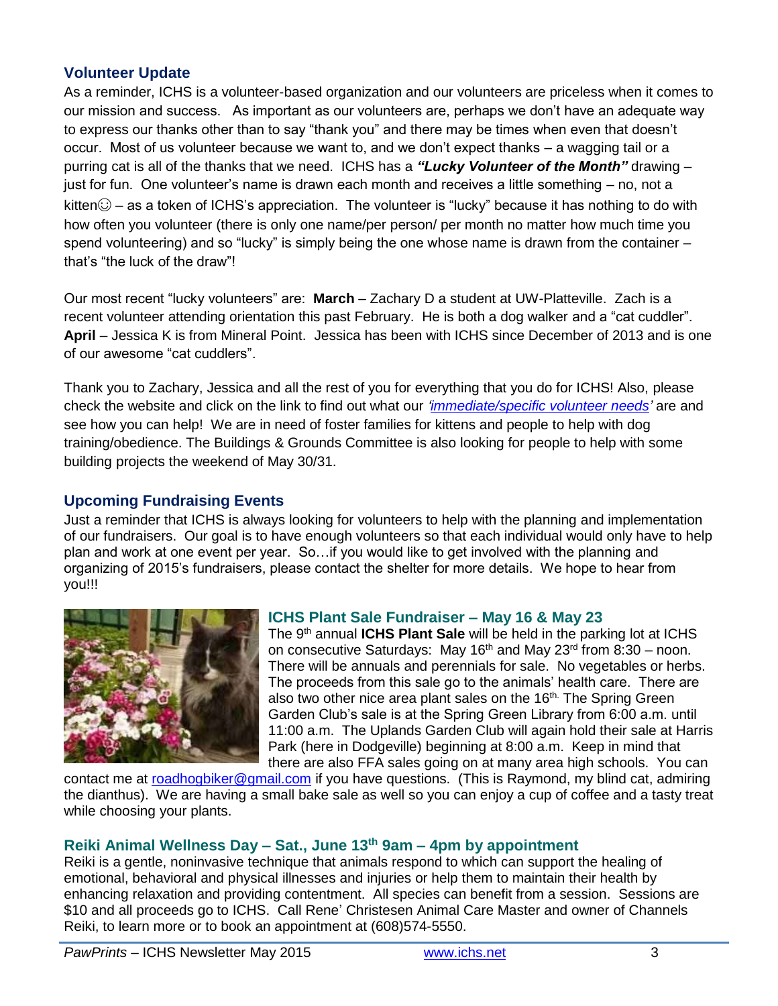#### **Volunteer Update**

As a reminder, ICHS is a volunteer-based organization and our volunteers are priceless when it comes to our mission and success. As important as our volunteers are, perhaps we don't have an adequate way to express our thanks other than to say "thank you" and there may be times when even that doesn't occur. Most of us volunteer because we want to, and we don't expect thanks – a wagging tail or a purring cat is all of the thanks that we need. ICHS has a *"Lucky Volunteer of the Month"* drawing – just for fun. One volunteer's name is drawn each month and receives a little something – no, not a kitten $\odot$  – as a token of ICHS's appreciation. The volunteer is "lucky" because it has nothing to do with how often you volunteer (there is only one name/per person/ per month no matter how much time you spend volunteering) and so "lucky" is simply being the one whose name is drawn from the container – that's "the luck of the draw"!

Our most recent "lucky volunteers" are: **March** – Zachary D a student at UW-Platteville. Zach is a recent volunteer attending orientation this past February. He is both a dog walker and a "cat cuddler". **April** – Jessica K is from Mineral Point. Jessica has been with ICHS since December of 2013 and is one of our awesome "cat cuddlers".

Thank you to Zachary, Jessica and all the rest of you for everything that you do for ICHS! Also, please check the website and click on the link to find out what our *['immediate/specific volunteer needs'](http://www.ichs.net/volunteer-help/volunteer/)* are and see how you can help! We are in need of foster families for kittens and people to help with dog training/obedience. The Buildings & Grounds Committee is also looking for people to help with some building projects the weekend of May 30/31.

#### **Upcoming Fundraising Events**

Just a reminder that ICHS is always looking for volunteers to help with the planning and implementation of our fundraisers. Our goal is to have enough volunteers so that each individual would only have to help plan and work at one event per year. So…if you would like to get involved with the planning and organizing of 2015's fundraisers, please contact the shelter for more details. We hope to hear from you!!!



### **ICHS Plant Sale Fundraiser – May 16 & May 23**

The 9<sup>th</sup> annual **ICHS Plant Sale** will be held in the parking lot at ICHS on consecutive Saturdays: May 16<sup>th</sup> and May 23<sup>rd</sup> from 8:30 – noon. There will be annuals and perennials for sale. No vegetables or herbs. The proceeds from this sale go to the animals' health care. There are also two other nice area plant sales on the 16<sup>th.</sup> The Spring Green Garden Club's sale is at the Spring Green Library from 6:00 a.m. until 11:00 a.m. The Uplands Garden Club will again hold their sale at Harris Park (here in Dodgeville) beginning at 8:00 a.m. Keep in mind that there are also FFA sales going on at many area high schools. You can

contact me at [roadhogbiker@gmail.com](mailto:roadhogbiker@gmail.com) if you have questions. (This is Raymond, my blind cat, admiring the dianthus). We are having a small bake sale as well so you can enjoy a cup of coffee and a tasty treat while choosing your plants.

## **Reiki Animal Wellness Day – Sat., June 13th 9am – 4pm by appointment**

Reiki is a gentle, noninvasive technique that animals respond to which can support the healing of emotional, behavioral and physical illnesses and injuries or help them to maintain their health by enhancing relaxation and providing contentment. All species can benefit from a session. Sessions are \$10 and all proceeds go to ICHS. Call Rene' Christesen Animal Care Master and owner of Channels Reiki, to learn more or to book an appointment at (608)574-5550.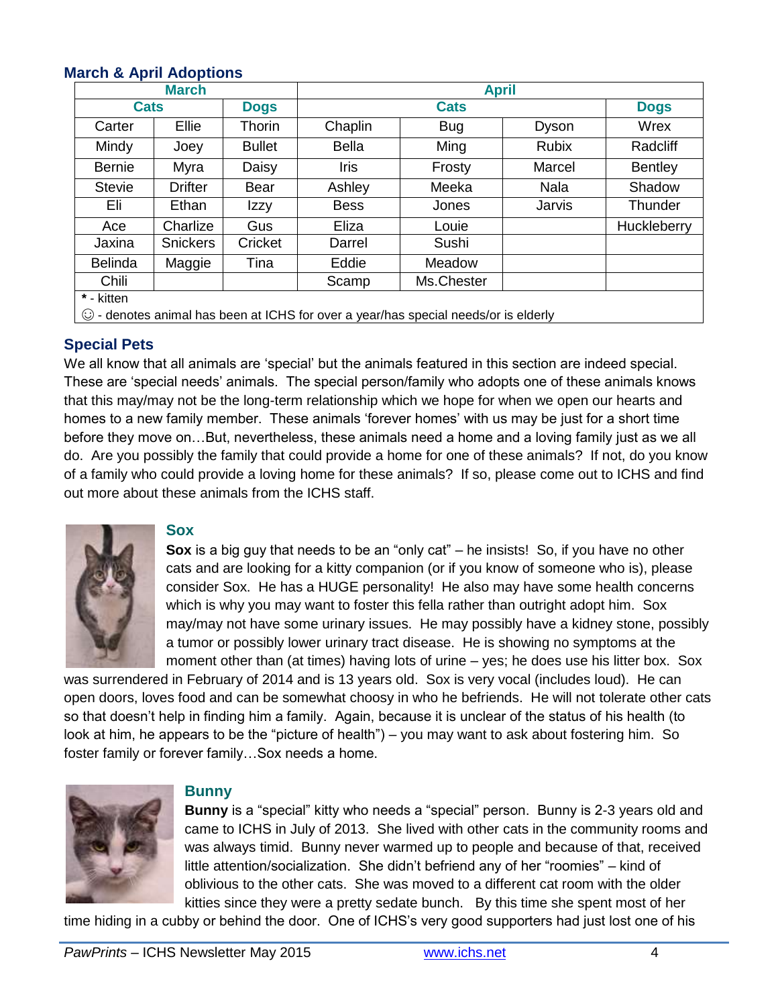#### **March & April Adoptions**

| <b>March</b>                                                                        |                                           |               | <b>April</b> |            |              |                |  |
|-------------------------------------------------------------------------------------|-------------------------------------------|---------------|--------------|------------|--------------|----------------|--|
|                                                                                     | <b>Cats</b><br><b>Cats</b><br><b>Dogs</b> |               | <b>Dogs</b>  |            |              |                |  |
| Carter                                                                              | Ellie                                     | Thorin        | Chaplin      | <b>Bug</b> | Dyson        | Wrex           |  |
| Mindy                                                                               | Joey                                      | <b>Bullet</b> | <b>Bella</b> | Ming       | <b>Rubix</b> | Radcliff       |  |
| <b>Bernie</b>                                                                       | Myra                                      | Daisy         | Iris         | Frosty     | Marcel       | <b>Bentley</b> |  |
| <b>Stevie</b>                                                                       | Drifter                                   | Bear          | Ashley       | Meeka      | Nala         | Shadow         |  |
| Eli                                                                                 | Ethan                                     | Izzy          | <b>Bess</b>  | Jones      | Jarvis       | Thunder        |  |
| Ace                                                                                 | Charlize                                  | Gus           | Eliza        | Louie      |              | Huckleberry    |  |
| Jaxina                                                                              | <b>Snickers</b>                           | Cricket       | Darrel       | Sushi      |              |                |  |
| <b>Belinda</b>                                                                      | Maggie                                    | Tina          | Eddie        | Meadow     |              |                |  |
| Chili                                                                               |                                           |               | Scamp        | Ms.Chester |              |                |  |
| * - kitten                                                                          |                                           |               |              |            |              |                |  |
| © - denotes animal has been at ICHS for over a year/has special needs/or is elderly |                                           |               |              |            |              |                |  |

#### **Special Pets**

We all know that all animals are 'special' but the animals featured in this section are indeed special. These are 'special needs' animals. The special person/family who adopts one of these animals knows that this may/may not be the long-term relationship which we hope for when we open our hearts and homes to a new family member. These animals 'forever homes' with us may be just for a short time before they move on…But, nevertheless, these animals need a home and a loving family just as we all do. Are you possibly the family that could provide a home for one of these animals? If not, do you know of a family who could provide a loving home for these animals? If so, please come out to ICHS and find out more about these animals from the ICHS staff.



#### **Sox**

**Sox** is a big guy that needs to be an "only cat" – he insists! So, if you have no other cats and are looking for a kitty companion (or if you know of someone who is), please consider Sox. He has a HUGE personality! He also may have some health concerns which is why you may want to foster this fella rather than outright adopt him. Sox may/may not have some urinary issues. He may possibly have a kidney stone, possibly a tumor or possibly lower urinary tract disease. He is showing no symptoms at the moment other than (at times) having lots of urine – yes; he does use his litter box. Sox

was surrendered in February of 2014 and is 13 years old. Sox is very vocal (includes loud). He can open doors, loves food and can be somewhat choosy in who he befriends. He will not tolerate other cats so that doesn't help in finding him a family. Again, because it is unclear of the status of his health (to look at him, he appears to be the "picture of health") – you may want to ask about fostering him. So foster family or forever family…Sox needs a home.



#### **Bunny**

**Bunny** is a "special" kitty who needs a "special" person. Bunny is 2-3 years old and came to ICHS in July of 2013. She lived with other cats in the community rooms and was always timid. Bunny never warmed up to people and because of that, received little attention/socialization. She didn't befriend any of her "roomies" – kind of oblivious to the other cats. She was moved to a different cat room with the older kitties since they were a pretty sedate bunch. By this time she spent most of her

time hiding in a cubby or behind the door. One of ICHS's very good supporters had just lost one of his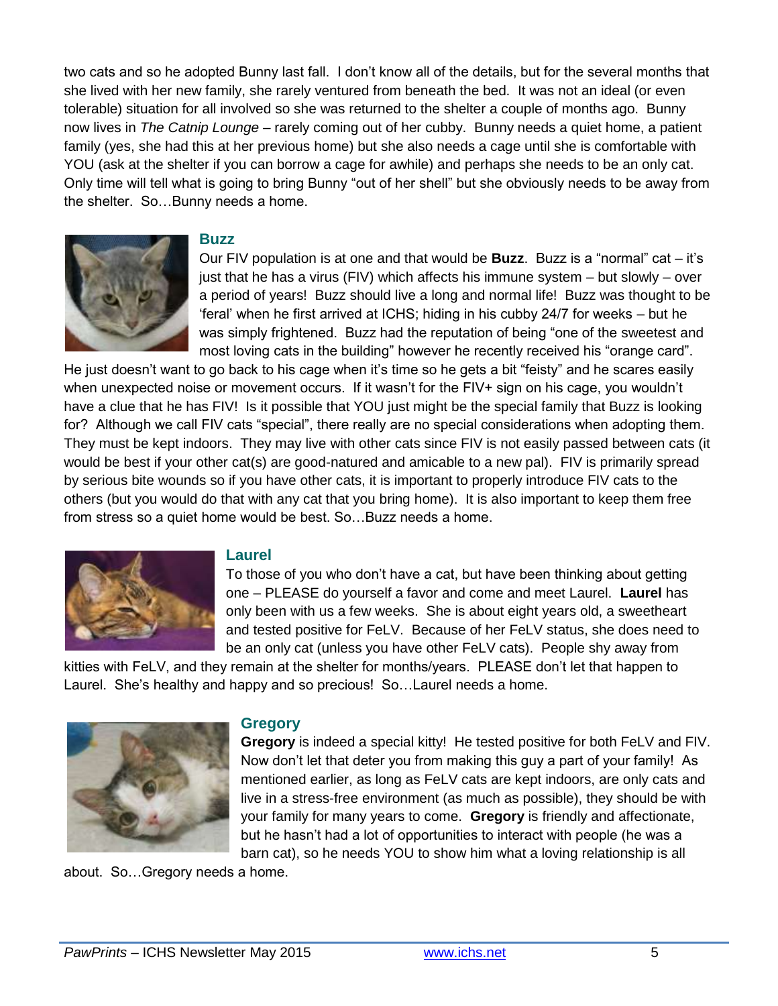two cats and so he adopted Bunny last fall. I don't know all of the details, but for the several months that she lived with her new family, she rarely ventured from beneath the bed. It was not an ideal (or even tolerable) situation for all involved so she was returned to the shelter a couple of months ago. Bunny now lives in *The Catnip Lounge –* rarely coming out of her cubby. Bunny needs a quiet home, a patient family (yes, she had this at her previous home) but she also needs a cage until she is comfortable with YOU (ask at the shelter if you can borrow a cage for awhile) and perhaps she needs to be an only cat. Only time will tell what is going to bring Bunny "out of her shell" but she obviously needs to be away from the shelter. So…Bunny needs a home.



#### **Buzz**

Our FIV population is at one and that would be **Buzz**. Buzz is a "normal" cat – it's just that he has a virus (FIV) which affects his immune system – but slowly – over a period of years! Buzz should live a long and normal life! Buzz was thought to be 'feral' when he first arrived at ICHS; hiding in his cubby 24/7 for weeks – but he was simply frightened. Buzz had the reputation of being "one of the sweetest and most loving cats in the building" however he recently received his "orange card".

He just doesn't want to go back to his cage when it's time so he gets a bit "feisty" and he scares easily when unexpected noise or movement occurs. If it wasn't for the FIV+ sign on his cage, you wouldn't have a clue that he has FIV! Is it possible that YOU just might be the special family that Buzz is looking for? Although we call FIV cats "special", there really are no special considerations when adopting them. They must be kept indoors. They may live with other cats since FIV is not easily passed between cats (it would be best if your other cat(s) are good-natured and amicable to a new pal). FIV is primarily spread by serious bite wounds so if you have other cats, it is important to properly introduce FIV cats to the others (but you would do that with any cat that you bring home). It is also important to keep them free from stress so a quiet home would be best. So…Buzz needs a home.



#### **Laurel**

To those of you who don't have a cat, but have been thinking about getting one – PLEASE do yourself a favor and come and meet Laurel. **Laurel** has only been with us a few weeks. She is about eight years old, a sweetheart and tested positive for FeLV. Because of her FeLV status, she does need to be an only cat (unless you have other FeLV cats). People shy away from

kitties with FeLV, and they remain at the shelter for months/years. PLEASE don't let that happen to Laurel. She's healthy and happy and so precious! So…Laurel needs a home.



#### **Gregory**

**Gregory** is indeed a special kitty! He tested positive for both FeLV and FIV. Now don't let that deter you from making this guy a part of your family! As mentioned earlier, as long as FeLV cats are kept indoors, are only cats and live in a stress-free environment (as much as possible), they should be with your family for many years to come. **Gregory** is friendly and affectionate, but he hasn't had a lot of opportunities to interact with people (he was a barn cat), so he needs YOU to show him what a loving relationship is all

about. So…Gregory needs a home.